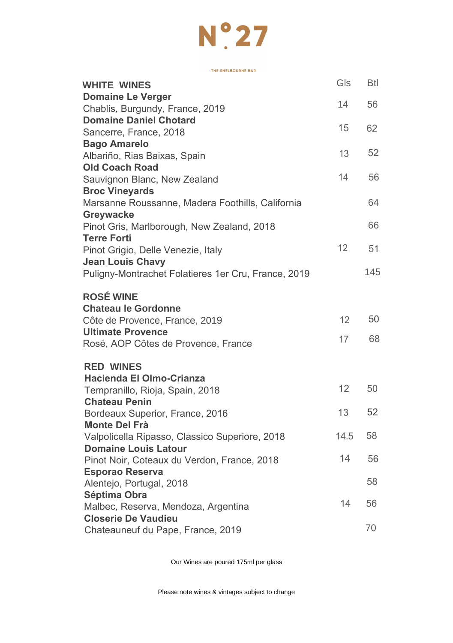

THE SHELBOURNE BAR

| <b>WHITE WINES</b>                                               | Gls  | Btl |
|------------------------------------------------------------------|------|-----|
| <b>Domaine Le Verger</b>                                         | 14   | 56  |
| Chablis, Burgundy, France, 2019                                  |      |     |
| <b>Domaine Daniel Chotard</b>                                    | 15   | 62  |
| Sancerre, France, 2018                                           |      |     |
| <b>Bago Amarelo</b>                                              |      | 52  |
| Albariño, Rias Baixas, Spain                                     | 13   |     |
| <b>Old Coach Road</b>                                            | 14   | 56  |
| Sauvignon Blanc, New Zealand                                     |      |     |
| <b>Broc Vineyards</b>                                            |      |     |
| Marsanne Roussanne, Madera Foothills, California                 |      | 64  |
| Greywacke                                                        |      | 66  |
| Pinot Gris, Marlborough, New Zealand, 2018<br><b>Terre Forti</b> |      |     |
| Pinot Grigio, Delle Venezie, Italy                               | 12   | 51  |
| <b>Jean Louis Chavy</b>                                          |      |     |
| Puligny-Montrachet Folatieres 1er Cru, France, 2019              |      | 145 |
|                                                                  |      |     |
| <b>ROSÉ WINE</b>                                                 |      |     |
| <b>Chateau le Gordonne</b>                                       |      |     |
| Côte de Provence, France, 2019                                   | 12   | 50  |
| <b>Ultimate Provence</b>                                         |      |     |
| Rosé, AOP Côtes de Provence, France                              | 17   | 68  |
|                                                                  |      |     |
| <b>RED WINES</b>                                                 |      |     |
| Hacienda El Olmo-Crianza                                         |      |     |
| Tempranillo, Rioja, Spain, 2018                                  | 12   | 50  |
| <b>Chateau Penin</b>                                             |      |     |
| Bordeaux Superior, France, 2016                                  | 13   | 52  |
| <b>Monte Del Frà</b>                                             |      |     |
| Valpolicella Ripasso, Classico Superiore, 2018                   | 14.5 | 58  |
| <b>Domaine Louis Latour</b>                                      | 14   | 56  |
| Pinot Noir, Coteaux du Verdon, France, 2018                      |      |     |
| <b>Esporao Reserva</b>                                           |      | 58  |
| Alentejo, Portugal, 2018<br>Séptima Obra                         |      |     |
| Malbec, Reserva, Mendoza, Argentina                              | 14   | 56  |
| <b>Closerie De Vaudieu</b>                                       |      |     |
| Chateauneuf du Pape, France, 2019                                |      | 70  |
|                                                                  |      |     |

Our Wines are poured 175ml per glass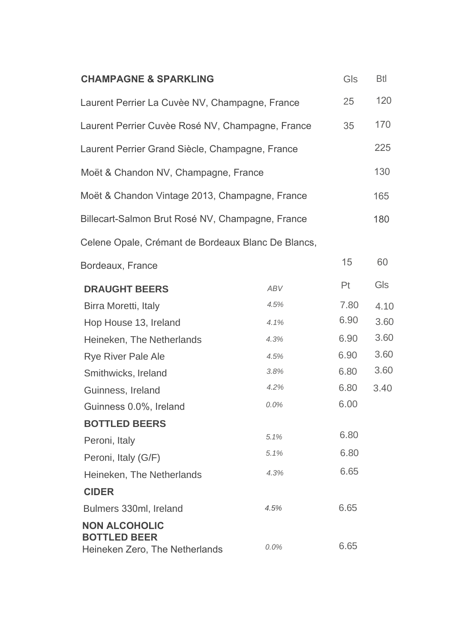| <b>CHAMPAGNE &amp; SPARKLING</b>                                              |            | Gls  | Btl  |
|-------------------------------------------------------------------------------|------------|------|------|
| Laurent Perrier La Cuvèe NV, Champagne, France                                |            | 25   | 120  |
| Laurent Perrier Cuvèe Rosé NV, Champagne, France                              |            | 35   | 170  |
| Laurent Perrier Grand Siècle, Champagne, France                               |            |      | 225  |
| Moët & Chandon NV, Champagne, France                                          |            |      | 130  |
| Moët & Chandon Vintage 2013, Champagne, France                                |            |      | 165  |
| Billecart-Salmon Brut Rosé NV, Champagne, France                              |            |      | 180  |
| Celene Opale, Crémant de Bordeaux Blanc De Blancs,                            |            |      |      |
| Bordeaux, France                                                              |            | 15   | 60   |
| <b>DRAUGHT BEERS</b>                                                          | <b>ABV</b> | Pt   | Gls  |
| Birra Moretti, Italy                                                          | 4.5%       | 7.80 | 4.10 |
| Hop House 13, Ireland                                                         | 4.1%       | 6.90 | 3.60 |
| Heineken, The Netherlands                                                     | 4.3%       | 6.90 | 3.60 |
| Rye River Pale Ale                                                            | 4.5%       | 6.90 | 3.60 |
| Smithwicks, Ireland                                                           | 3.8%       | 6.80 | 3.60 |
| Guinness, Ireland                                                             | 4.2%       | 6.80 | 3.40 |
| Guinness 0.0%, Ireland                                                        | 0.0%       | 6.00 |      |
| <b>BOTTLED BEERS</b>                                                          |            |      |      |
| Peroni, Italy                                                                 | 5.1%       | 6.80 |      |
| Peroni, Italy (G/F)                                                           | 5.1%       | 6.80 |      |
| Heineken, The Netherlands                                                     | 4.3%       | 6.65 |      |
| <b>CIDER</b>                                                                  |            |      |      |
| Bulmers 330ml, Ireland                                                        | 4.5%       | 6.65 |      |
| <b>NON ALCOHOLIC</b><br><b>BOTTLED BEER</b><br>Heineken Zero, The Netherlands | 0.0%       | 6.65 |      |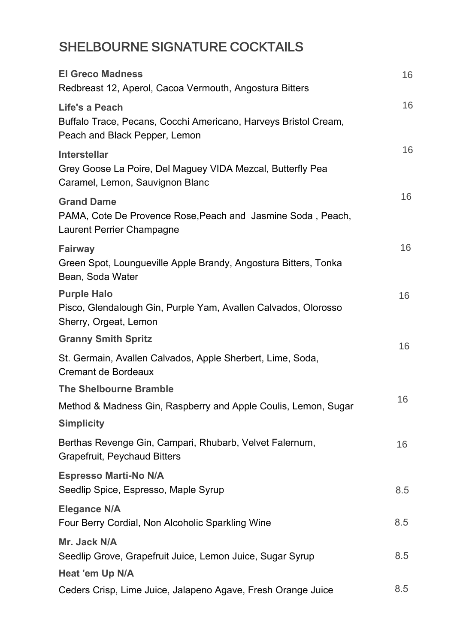# SHELBOURNE SIGNATURE COCKTAILS

| <b>El Greco Madness</b><br>Redbreast 12, Aperol, Cacoa Vermouth, Angostura Bitters                                   | 16  |
|----------------------------------------------------------------------------------------------------------------------|-----|
| Life's a Peach<br>Buffalo Trace, Pecans, Cocchi Americano, Harveys Bristol Cream,<br>Peach and Black Pepper, Lemon   | 16  |
| <b>Interstellar</b><br>Grey Goose La Poire, Del Maguey VIDA Mezcal, Butterfly Pea<br>Caramel, Lemon, Sauvignon Blanc | 16  |
| <b>Grand Dame</b><br>PAMA, Cote De Provence Rose, Peach and Jasmine Soda, Peach,<br>Laurent Perrier Champagne        | 16  |
| Fairway<br>Green Spot, Loungueville Apple Brandy, Angostura Bitters, Tonka<br>Bean, Soda Water                       | 16  |
| <b>Purple Halo</b><br>Pisco, Glendalough Gin, Purple Yam, Avallen Calvados, Olorosso<br>Sherry, Orgeat, Lemon        | 16  |
| <b>Granny Smith Spritz</b>                                                                                           | 16  |
| St. Germain, Avallen Calvados, Apple Sherbert, Lime, Soda,<br>Cremant de Bordeaux                                    |     |
| <b>The Shelbourne Bramble</b>                                                                                        |     |
| Method & Madness Gin, Raspberry and Apple Coulis, Lemon, Sugar                                                       | 16  |
| <b>Simplicity</b>                                                                                                    |     |
| Berthas Revenge Gin, Campari, Rhubarb, Velvet Falernum,<br>Grapefruit, Peychaud Bitters                              | 16  |
| <b>Espresso Marti-No N/A</b><br>Seedlip Spice, Espresso, Maple Syrup                                                 | 8.5 |
| <b>Elegance N/A</b><br>Four Berry Cordial, Non Alcoholic Sparkling Wine                                              | 8.5 |
| Mr. Jack N/A<br>Seedlip Grove, Grapefruit Juice, Lemon Juice, Sugar Syrup                                            | 8.5 |
| Heat 'em Up N/A                                                                                                      |     |
| Ceders Crisp, Lime Juice, Jalapeno Agave, Fresh Orange Juice                                                         | 8.5 |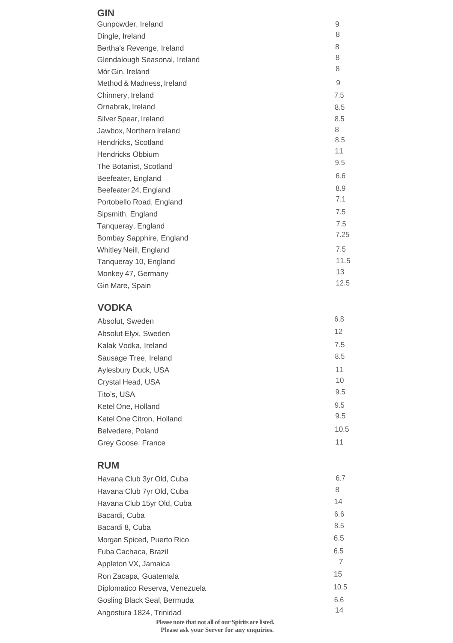#### **GIN**

| Gunpowder, Ireland            | 9    |
|-------------------------------|------|
| Dingle, Ireland               | 8    |
| Bertha's Revenge, Ireland     | 8    |
| Glendalough Seasonal, Ireland | 8    |
| Mór Gin, Ireland              | 8    |
| Method & Madness, Ireland     | 9    |
| Chinnery, Ireland             | 7.5  |
| Ornabrak, Ireland             | 8.5  |
| Silver Spear, Ireland         | 8.5  |
| Jawbox, Northern Ireland      | 8    |
| Hendricks, Scotland           | 8.5  |
| <b>Hendricks Obbium</b>       | 11   |
| The Botanist, Scotland        | 9.5  |
| Beefeater, England            | 6.6  |
| Beefeater 24, England         | 8.9  |
| Portobello Road, England      | 7.1  |
| Sipsmith, England             | 7.5  |
| Tanqueray, England            | 7.5  |
| Bombay Sapphire, England      | 7.25 |
| Whitley Neill, England        | 7.5  |
| Tangueray 10, England         | 11.5 |
| Monkey 47, Germany            | 13   |
| Gin Mare, Spain               | 12.5 |

### **VODKA**

| Absolut, Sweden           | 6.8  |
|---------------------------|------|
| Absolut Elyx, Sweden      | 12   |
| Kalak Vodka, Ireland      | 7.5  |
| Sausage Tree, Ireland     | 8.5  |
| Aylesbury Duck, USA       | 11   |
| Crystal Head, USA         | 10   |
| Tito's, USA               | 9.5  |
| Ketel One, Holland        | 9.5  |
| Ketel One Citron, Holland | 9.5  |
| Belvedere, Poland         | 10.5 |
| Grey Goose, France        | 11   |

### **RUM**

| Havana Club 3yr Old, Cuba      | 6.7  |
|--------------------------------|------|
| Havana Club 7yr Old, Cuba      | 8    |
| Havana Club 15yr Old, Cuba     | 14   |
| Bacardi, Cuba                  | 6.6  |
| Bacardi 8, Cuba                | 8.5  |
| Morgan Spiced, Puerto Rico     | 6.5  |
| Fuba Cachaca, Brazil           | 6.5  |
| Appleton VX, Jamaica           | 7    |
| Ron Zacapa, Guatemala          | 15   |
| Diplomatico Reserva, Venezuela | 10.5 |
| Gosling Black Seal, Bermuda    | 6.6  |
| Angostura 1824, Trinidad       | 14   |
|                                |      |

**Please note that not all of our Spirits are listed.**

**Please ask your Server for any enquiries.**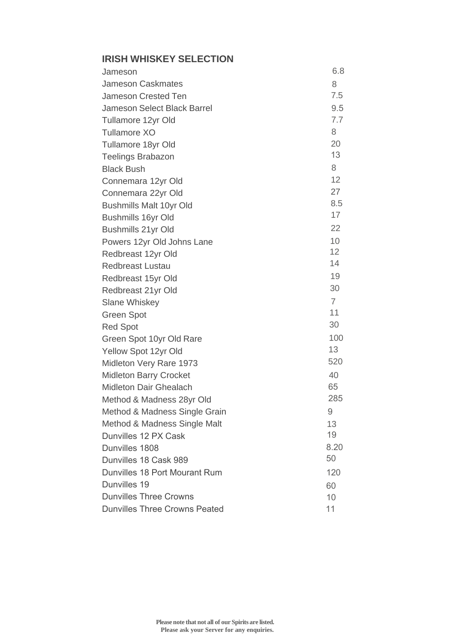# **IRISH WHISKEY SELECTION**

| Jameson                              | 6.8             |
|--------------------------------------|-----------------|
| Jameson Caskmates                    | 8               |
| Jameson Crested Ten                  | 7.5             |
| Jameson Select Black Barrel          | 9.5             |
| Tullamore 12yr Old                   | 7.7             |
| Tullamore XO                         | 8               |
| Tullamore 18yr Old                   | 20              |
| <b>Teelings Brabazon</b>             | 13              |
| <b>Black Bush</b>                    | 8               |
| Connemara 12yr Old                   | 12              |
| Connemara 22yr Old                   | 27              |
| Bushmills Malt 10yr Old              | 8.5             |
| Bushmills 16yr Old                   | 17              |
| Bushmills 21yr Old                   | 22              |
| Powers 12yr Old Johns Lane           | 10 <sup>1</sup> |
| Redbreast 12yr Old                   | 12              |
| Redbreast Lustau                     | 14              |
| Redbreast 15yr Old                   | 19              |
| Redbreast 21yr Old                   | 30              |
| <b>Slane Whiskey</b>                 | $\overline{7}$  |
| Green Spot                           | 11              |
| <b>Red Spot</b>                      | 30              |
| Green Spot 10yr Old Rare             | 100             |
| Yellow Spot 12yr Old                 | 13              |
| Midleton Very Rare 1973              | 520             |
| Midleton Barry Crocket               | 40              |
| Midleton Dair Ghealach               | 65              |
| Method & Madness 28yr Old            | 285             |
| Method & Madness Single Grain        | 9               |
| Method & Madness Single Malt         | 13              |
| Dunvilles 12 PX Cask                 | 19              |
| Dunvilles 1808                       | 8.20            |
| Dunvilles 18 Cask 989                | 50              |
| Dunvilles 18 Port Mourant Rum        | 120             |
| Dunvilles 19                         | 60              |
| <b>Dunvilles Three Crowns</b>        | 10              |
| <b>Dunvilles Three Crowns Peated</b> | 11              |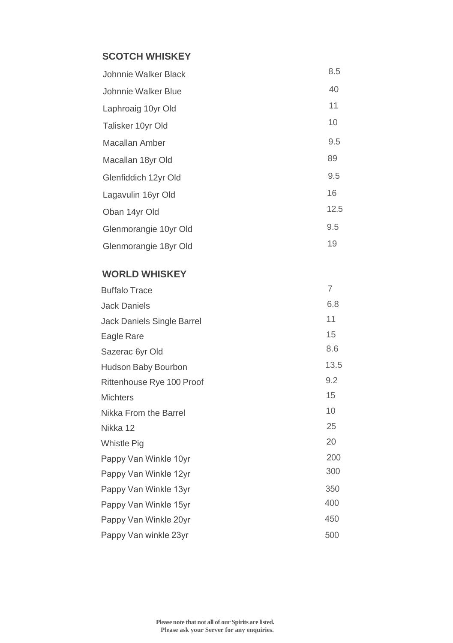# **SCOTCH WHISKEY**

| Johnnie Walker Black  | 8.5  |
|-----------------------|------|
| Johnnie Walker Blue   | 40   |
| Laphroaig 10yr Old    | 11   |
| Talisker 10yr Old     | 10   |
| Macallan Amber        | 9.5  |
| Macallan 18yr Old     | 89   |
| Glenfiddich 12yr Old  | 9.5  |
| Lagavulin 16yr Old    | 16   |
| Oban 14yr Old         | 12.5 |
| Glenmorangie 10yr Old | 9.5  |
| Glenmorangie 18yr Old | 19   |

#### **WORLD WHISKEY**

| <b>Buffalo Trace</b>       | 7    |
|----------------------------|------|
| <b>Jack Daniels</b>        | 6.8  |
| Jack Daniels Single Barrel | 11   |
| Eagle Rare                 | 15   |
| Sazerac 6yr Old            | 8.6  |
| Hudson Baby Bourbon        | 13.5 |
| Rittenhouse Rye 100 Proof  | 9.2  |
| <b>Michters</b>            | 15   |
| Nikka From the Barrel      | 10   |
| Nikka 12                   | 25   |
| <b>Whistle Pig</b>         | 20   |
| Pappy Van Winkle 10yr      | 200  |
| Pappy Van Winkle 12yr      | 300  |
| Pappy Van Winkle 13yr      | 350  |
| Pappy Van Winkle 15yr      | 400  |
| Pappy Van Winkle 20yr      | 450  |
| Pappy Van winkle 23yr      | 500  |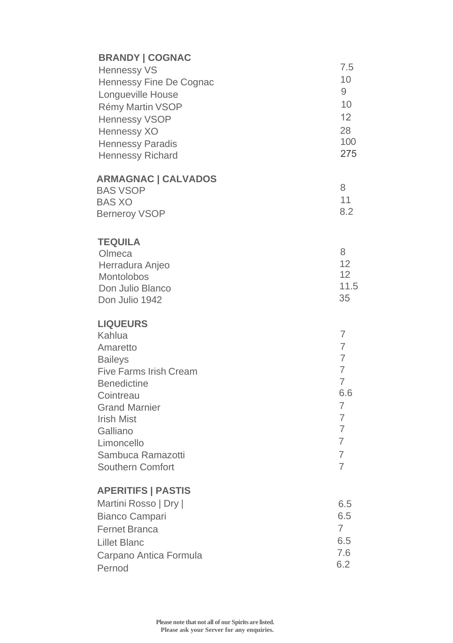## **BRANDY | COGNAC**

| Hennessy VS             | 7.5 |
|-------------------------|-----|
| Hennessy Fine De Cognac | 10  |
| Longueville House       | 9   |
| Rémy Martin VSOP        | 10  |
| Hennessy VSOP           | 12  |
| Hennessy XO             | 28  |
| Hennessy Paradis        | 100 |
| Hennessy Richard        | 275 |
|                         |     |

### **ARMAGNAC | CALVADOS**

| <b>BAS VSOP</b>      |     |
|----------------------|-----|
| BAS XO               |     |
| <b>Berneroy VSOP</b> | 8.2 |

#### **TEQUILA**

| 11.5 |
|------|
|      |
|      |

### **LIQUEURS**

| Kahlua                 |     |
|------------------------|-----|
| Amaretto               |     |
| <b>Baileys</b>         |     |
| Five Farms Irish Cream |     |
| <b>Benedictine</b>     |     |
| Cointreau              | 6.6 |
| <b>Grand Marnier</b>   |     |
| <b>Irish Mist</b>      |     |
| Galliano               |     |
| Limoncello             |     |
| Sambuca Ramazotti      |     |
| Southern Comfort       |     |
|                        |     |

### **APERITIFS | PASTIS**

| Martini Rosso   Dry    | 6.5 |
|------------------------|-----|
| Bianco Campari         | 6.5 |
| <b>Fernet Branca</b>   |     |
| Lillet Blanc           | 6.5 |
| Carpano Antica Formula | 7.6 |
| Pernod                 | 6.2 |